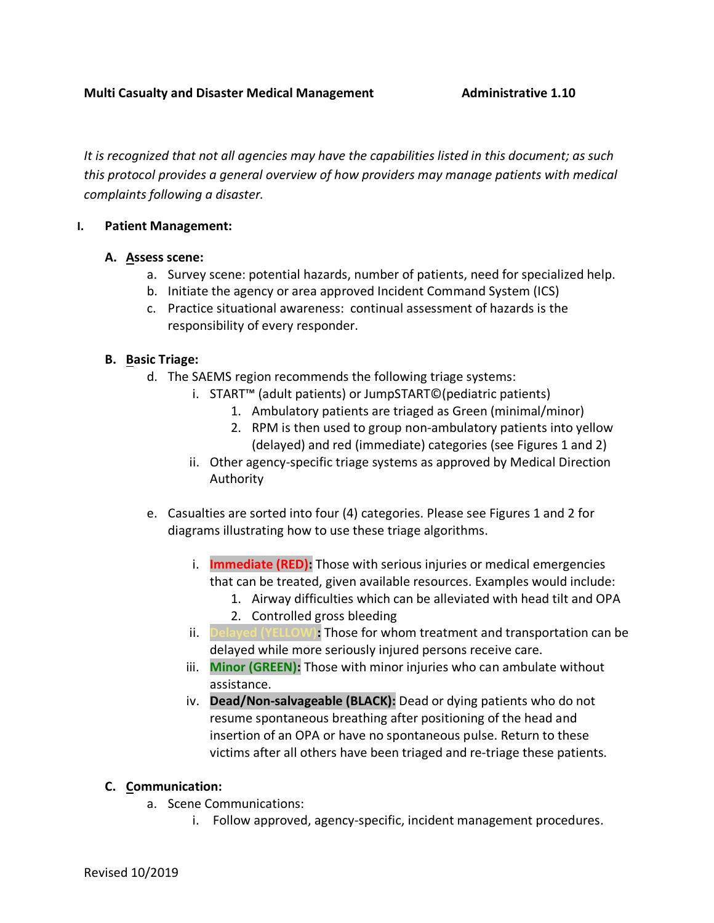*It is recognized that not all agencies may have the capabilities listed in this document; as such this protocol provides a general overview of how providers may manage patients with medical complaints following a disaster.*

# **I. Patient Management:**

## **A. Assess scene:**

- a. Survey scene: potential hazards, number of patients, need for specialized help.
- b. Initiate the agency or area approved Incident Command System (ICS)
- c. Practice situational awareness: continual assessment of hazards is the responsibility of every responder.

# **B. Basic Triage:**

- d. The SAEMS region recommends the following triage systems:
	- i. START™ (adult patients) or JumpSTART©(pediatric patients)
		- 1. Ambulatory patients are triaged as Green (minimal/minor)
		- 2. RPM is then used to group non-ambulatory patients into yellow (delayed) and red (immediate) categories (see Figures 1 and 2)
	- ii. Other agency-specific triage systems as approved by Medical Direction Authority
- e. Casualties are sorted into four (4) categories. Please see Figures 1 and 2 for diagrams illustrating how to use these triage algorithms.
	- i. **Immediate (RED):** Those with serious injuries or medical emergencies that can be treated, given available resources. Examples would include:
		- 1. Airway difficulties which can be alleviated with head tilt and OPA 2. Controlled gross bleeding
	- ii. **Delayed (YELLOW):** Those for whom treatment and transportation can be delayed while more seriously injured persons receive care.
	- iii. **Minor (GREEN):** Those with minor injuries who can ambulate without assistance.
	- iv. **Dead/Non-salvageable (BLACK):** Dead or dying patients who do not resume spontaneous breathing after positioning of the head and insertion of an OPA or have no spontaneous pulse. Return to these victims after all others have been triaged and re-triage these patients.

# **C. Communication:**

- a. Scene Communications:
	- i. Follow approved, agency-specific, incident management procedures.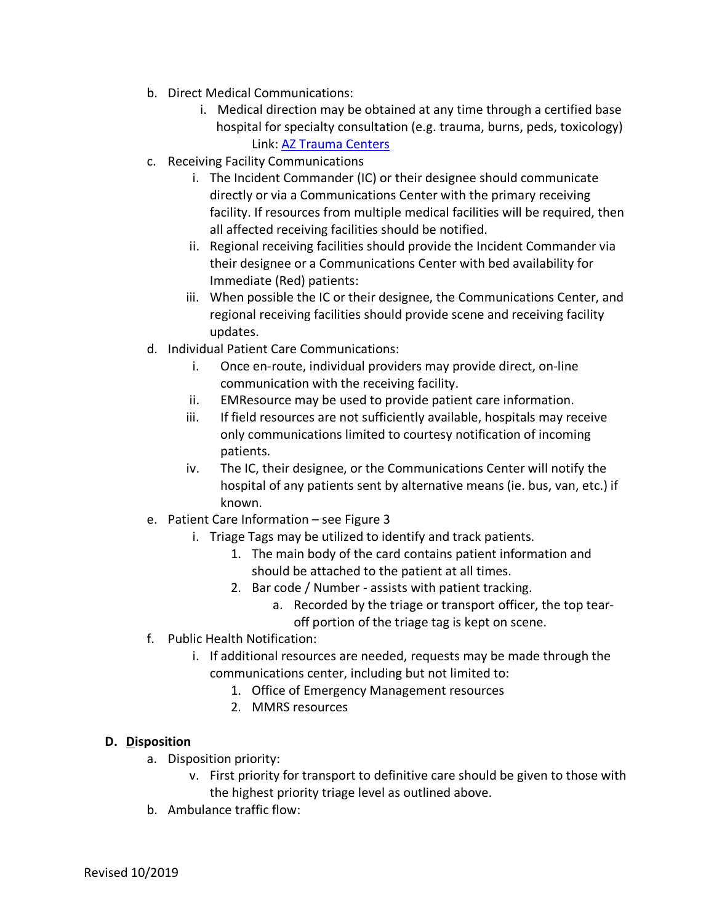- b. Direct Medical Communications:
	- i. Medical direction may be obtained at any time through a certified base hospital for specialty consultation (e.g. trauma, burns, peds, toxicology) Link: AZ Trauma Centers
- c. Receiving Facility Communications
	- i. The Incident Commander (IC) or their designee should communicate directly or via a Communications Center with the primary receiving facility. If resources from multiple medical facilities will be required, then all affected receiving facilities should be notified.
	- ii. Regional receiving facilities should provide the Incident Commander via their designee or a Communications Center with bed availability for Immediate (Red) patients:
	- iii. When possible the IC or their designee, the Communications Center, and regional receiving facilities should provide scene and receiving facility updates.
- d. Individual Patient Care Communications:
	- i. Once en-route, individual providers may provide direct, on-line communication with the receiving facility.
	- ii. EMResource may be used to provide patient care information.
	- iii. If field resources are not sufficiently available, hospitals may receive only communications limited to courtesy notification of incoming patients.
	- iv. The IC, their designee, or the Communications Center will notify the hospital of any patients sent by alternative means (ie. bus, van, etc.) if known.
- e. Patient Care Information see Figure 3
	- i. Triage Tags may be utilized to identify and track patients.
		- 1. The main body of the card contains patient information and should be attached to the patient at all times.
		- 2. Bar code / Number assists with patient tracking.
			- a. Recorded by the triage or transport officer, the top tearoff portion of the triage tag is kept on scene.
- f. Public Health Notification:
	- i. If additional resources are needed, requests may be made through the communications center, including but not limited to:
		- 1. Office of Emergency Management resources
		- 2. MMRS resources

## **D. Disposition**

- a. Disposition priority:
	- v. First priority for transport to definitive care should be given to those with the highest priority triage level as outlined above.
- b. Ambulance traffic flow: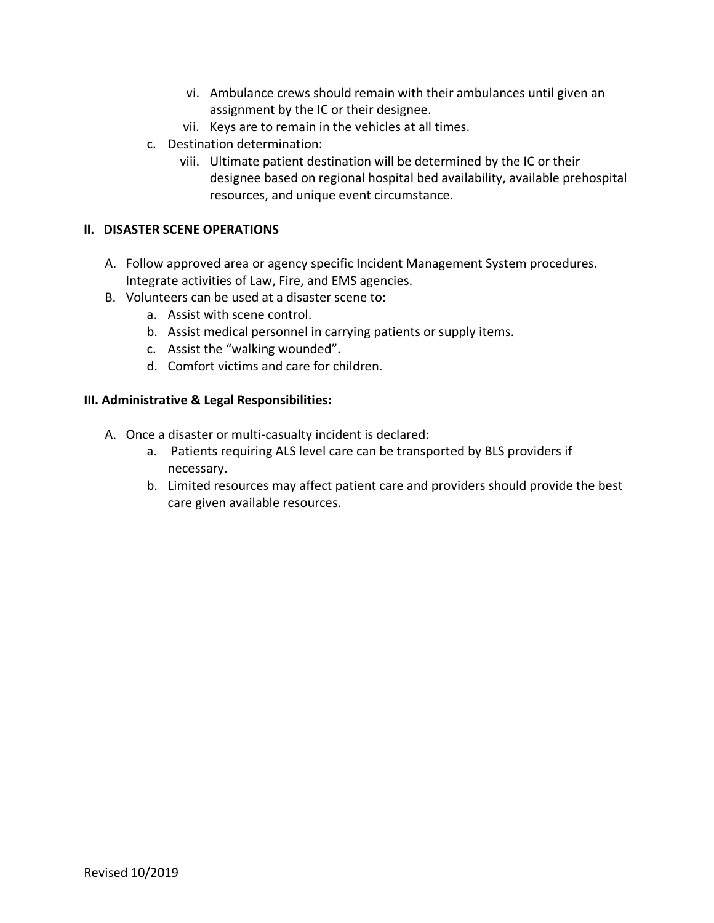- vi. Ambulance crews should remain with their ambulances until given an assignment by the IC or their designee.
- vii. Keys are to remain in the vehicles at all times.
- c. Destination determination:
	- viii. Ultimate patient destination will be determined by the IC or their designee based on regional hospital bed availability, available prehospital resources, and unique event circumstance.

#### **ll. DISASTER SCENE OPERATIONS**

- A. Follow approved area or agency specific Incident Management System procedures. Integrate activities of Law, Fire, and EMS agencies.
- B. Volunteers can be used at a disaster scene to:
	- a. Assist with scene control.
	- b. Assist medical personnel in carrying patients or supply items.
	- c. Assist the "walking wounded".
	- d. Comfort victims and care for children.

#### **III. Administrative & Legal Responsibilities:**

- A. Once a disaster or multi-casualty incident is declared:
	- a. Patients requiring ALS level care can be transported by BLS providers if necessary.
	- b. Limited resources may affect patient care and providers should provide the best care given available resources.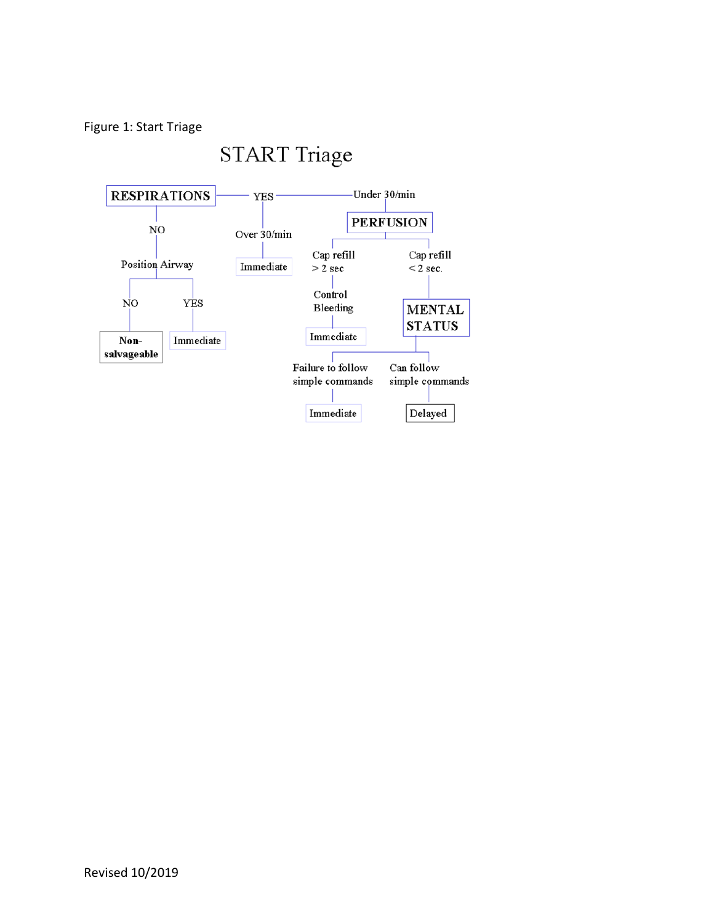# Figure 1: Start Triage

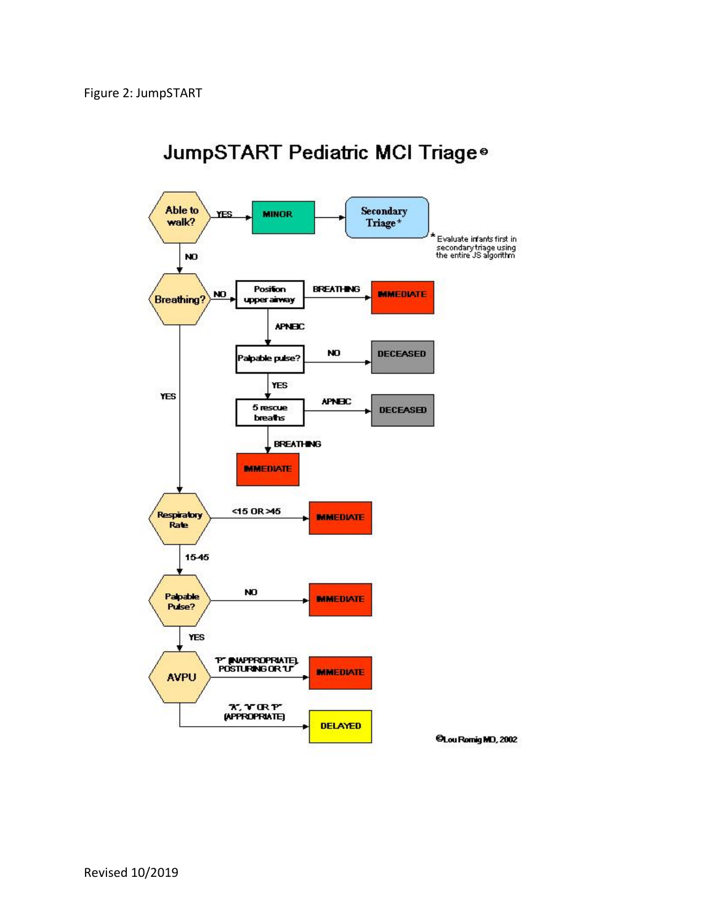

# JumpSTART Pediatric MCI Triage<sup>®</sup>